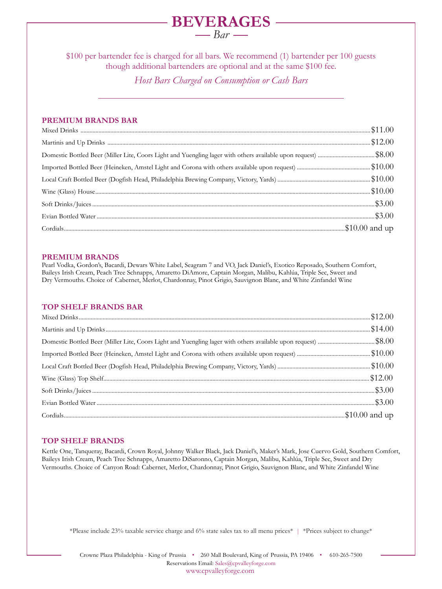## **BEVERAGES**  $\frac{Bar}{ }$

\$100 per bartender fee is charged for all bars. We recommend (1) bartender per 100 guests though additional bartenders are optional and at the same \$100 fee.

*Host Bars Charged on Consumption or Cash Bars*

### **PREMIUM BRANDS BAR**

#### **PREMIUM BRANDS**

Pearl Vodka, Gordon's, Bacardi, Dewars White Label, Seagram 7 and VO, Jack Daniel's, Exotico Reposado, Southern Comfort, Baileys Irish Cream, Peach Tree Schnapps, Amaretto DiAmore, Captain Morgan, Malibu, Kahlúa, Triple Sec, Sweet and Dry Vermouths. Choice of Cabernet, Merlot, Chardonnay, Pinot Grigio, Sauvignon Blanc, and White Zinfandel Wine

#### **TOP SHELF BRANDS BAR**

#### **TOP SHELF BRANDS**

Kettle One, Tanqueray, Bacardi, Crown Royal, Johnny Walker Black, Jack Daniel's, Maker's Mark, Jose Cuervo Gold, Southern Comfort, Baileys Irish Cream, Peach Tree Schnapps, Amaretto DiSaronno, Captain Morgan, Malibu, Kahlúa, Triple Sec, Sweet and Dry Vermouths. Choice of Canyon Road: Cabernet, Merlot, Chardonnay, Pinot Grigio, Sauvignon Blanc, and White Zinfandel Wine

\*Please include 23% taxable service charge and 6% state sales tax to all menu prices\* | \*Prices subject to change\*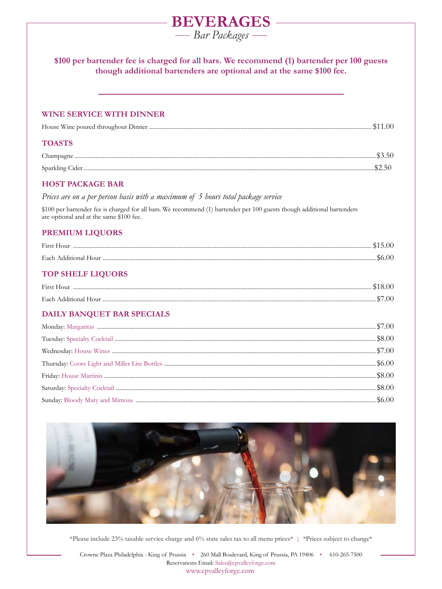# **BEVERAGES** - Bar Packages \$100 per bartender fee is charged for all bars. We recommend (1) bartender per 100 guests though additional bartenders are optional and at the same \$100 fee. **WINE SERVICE WITH DINNER TOASTS HOST PACKAGE BAR** Prices are on a per person basis with a maximum of 5 hours total package service \$100 per bartender fee is charged for all bars. We recommend (1) bartender per 100 guests though additional bartenders are optional and at the same \$100 fee. **PREMIUM LIQUORS TOP SHELF LIQUORS** DAILY BANQUET BAR SPECIALS



\*Please include 23% taxable service charge and 6% state sales tax to all menu prices\* | \*Prices subject to change\*